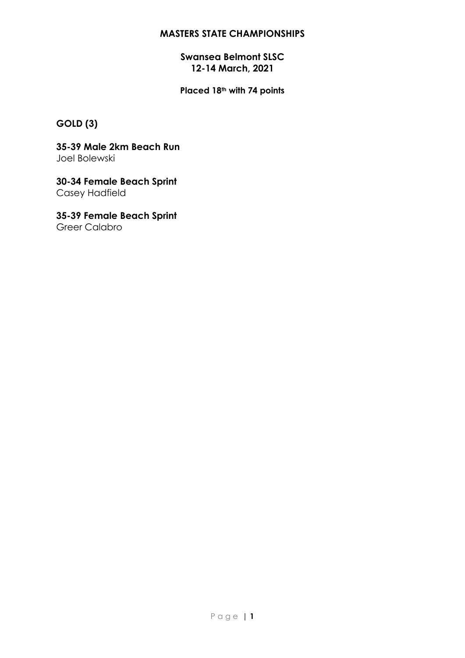### **Swansea Belmont SLSC 12-14 March, 2021**

**Placed 18th with 74 points**

# **GOLD (3)**

**35-39 Male 2km Beach Run** Joel Bolewski

**30-34 Female Beach Sprint** Casey Hadfield

**35-39 Female Beach Sprint** Greer Calabro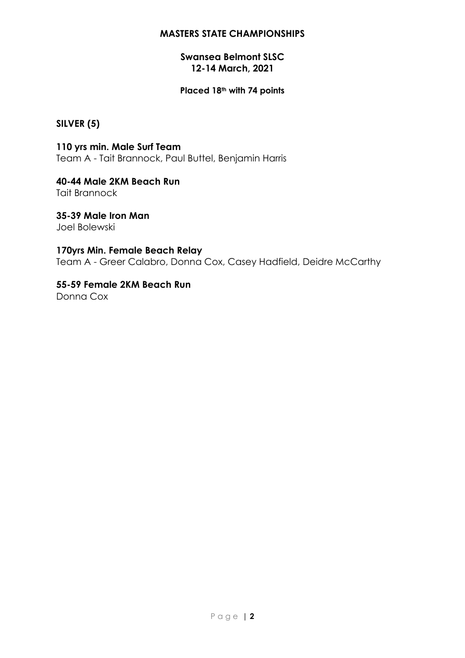### **Swansea Belmont SLSC 12-14 March, 2021**

#### **Placed 18th with 74 points**

## **SILVER (5)**

**110 yrs min. Male Surf Team** Team A - Tait Brannock, Paul Buttel, Benjamin Harris

**40-44 Male 2KM Beach Run** Tait Brannock

**35-39 Male Iron Man** Joel Bolewski

#### **170yrs Min. Female Beach Relay**

Team A - Greer Calabro, Donna Cox, Casey Hadfield, Deidre McCarthy

**55-59 Female 2KM Beach Run** Donna Cox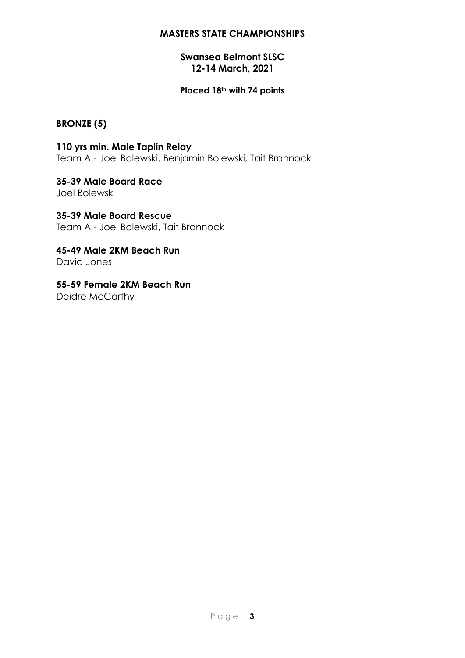### **Swansea Belmont SLSC 12-14 March, 2021**

#### **Placed 18th with 74 points**

## **BRONZE (5)**

**110 yrs min. Male Taplin Relay** Team A - Joel Bolewski, Benjamin Bolewski, Tait Brannock

**35-39 Male Board Race** Joel Bolewski

**35-39 Male Board Rescue** Team A - Joel Bolewski, Tait Brannock

**45-49 Male 2KM Beach Run** David Jones

**55-59 Female 2KM Beach Run** Deidre McCarthy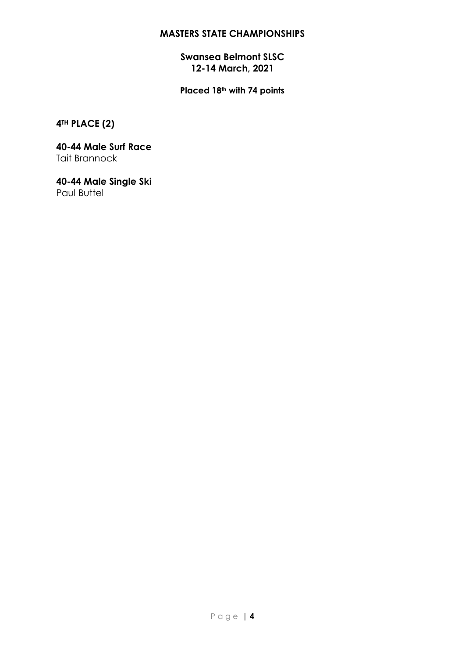## **Swansea Belmont SLSC 12-14 March, 2021**

**Placed 18th with 74 points**

**4TH PLACE (2)**

**40-44 Male Surf Race** Tait Brannock

**40-44 Male Single Ski** Paul Buttel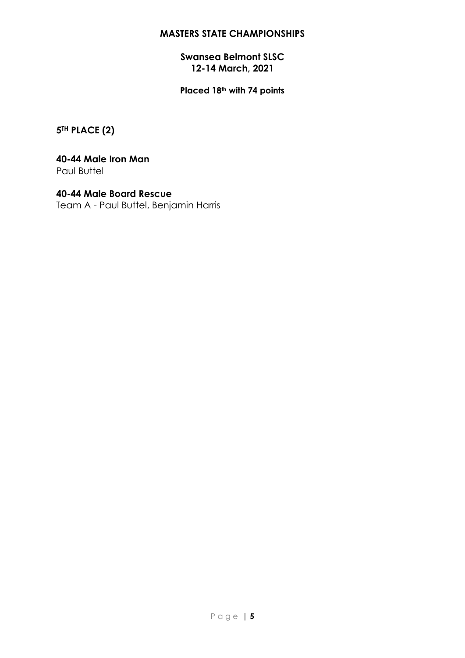### **Swansea Belmont SLSC 12-14 March, 2021**

**Placed 18th with 74 points**

**5TH PLACE (2)**

#### **40-44 Male Iron Man** Paul Buttel

**40-44 Male Board Rescue** Team A - Paul Buttel, Benjamin Harris